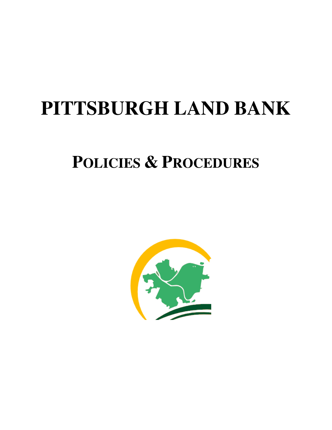# **PITTSBURGH LAND BANK**

## **POLICIES & PROCEDURES**

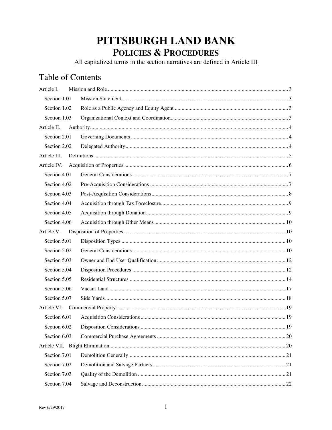## PITTSBURGH LAND BANK **POLICIES & PROCEDURES**

All capitalized terms in the section narratives are defined in Article III

### **Table of Contents**

| Article I.   |  |
|--------------|--|
| Section 1.01 |  |
| Section 1.02 |  |
| Section 1.03 |  |
| Article II.  |  |
| Section 2.01 |  |
| Section 2.02 |  |
| Article III. |  |
| Article IV.  |  |
| Section 4.01 |  |
| Section 4.02 |  |
| Section 4.03 |  |
| Section 4.04 |  |
| Section 4.05 |  |
| Section 4.06 |  |
| Article V.   |  |
| Section 5.01 |  |
| Section 5.02 |  |
| Section 5.03 |  |
| Section 5.04 |  |
| Section 5.05 |  |
| Section 5.06 |  |
| Section 5.07 |  |
| Article VI.  |  |
| Section 6.01 |  |
| Section 6.02 |  |
| Section 6.03 |  |
|              |  |
| Section 7.01 |  |
| Section 7.02 |  |
| Section 7.03 |  |
| Section 7.04 |  |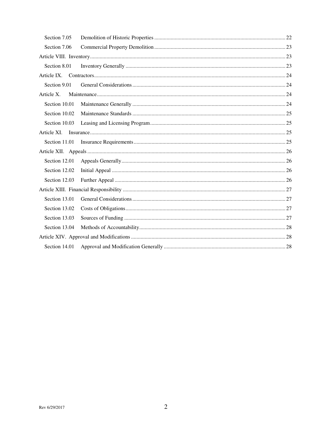| Section 7.05  |  |  |
|---------------|--|--|
| Section 7.06  |  |  |
|               |  |  |
| Section 8.01  |  |  |
|               |  |  |
| Section 9.01  |  |  |
| Article X.    |  |  |
| Section 10.01 |  |  |
| Section 10.02 |  |  |
| Section 10.03 |  |  |
| Article XI.   |  |  |
| Section 11.01 |  |  |
|               |  |  |
| Section 12.01 |  |  |
| Section 12.02 |  |  |
| Section 12.03 |  |  |
|               |  |  |
| Section 13.01 |  |  |
| Section 13.02 |  |  |
| Section 13.03 |  |  |
| Section 13.04 |  |  |
|               |  |  |
| Section 14.01 |  |  |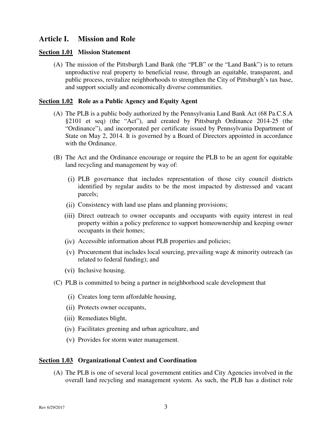#### **Article I. Mission and Role**

#### **Section 1.01 Mission Statement**

(A) The mission of the Pittsburgh Land Bank (the "PLB" or the "Land Bank") is to return unproductive real property to beneficial reuse, through an equitable, transparent, and public process, revitalize neighborhoods to strengthen the City of Pittsburgh's tax base, and support socially and economically diverse communities.

#### **Section 1.02 Role as a Public Agency and Equity Agent**

- (A) The PLB is a public body authorized by the Pennsylvania Land Bank Act (68 Pa.C.S.A §2101 et seq) (the "Act"), and created by Pittsburgh Ordinance 2014-25 (the "Ordinance"), and incorporated per certificate issued by Pennsylvania Department of State on May 2, 2014. It is governed by a Board of Directors appointed in accordance with the Ordinance.
- (B) The Act and the Ordinance encourage or require the PLB to be an agent for equitable land recycling and management by way of:
	- PLB governance that includes representation of those city council districts identified by regular audits to be the most impacted by distressed and vacant parcels;
	- (ii) Consistency with land use plans and planning provisions;
	- Direct outreach to owner occupants and occupants with equity interest in real property within a policy preference to support homeownership and keeping owner occupants in their homes;
	- Accessible information about PLB properties and policies;
	- $(v)$  Procurement that includes local sourcing, prevailing wage  $\&$  minority outreach (as related to federal funding); and
	- (vi) Inclusive housing.
- (C) PLB is committed to being a partner in neighborhood scale development that
	- (i) Creates long term affordable housing,
	- (ii) Protects owner occupants,
	- (iii) Remediates blight,
	- Facilitates greening and urban agriculture, and
	- (v) Provides for storm water management.

#### **Section 1.03 Organizational Context and Coordination**

(A) The PLB is one of several local government entities and City Agencies involved in the overall land recycling and management system. As such, the PLB has a distinct role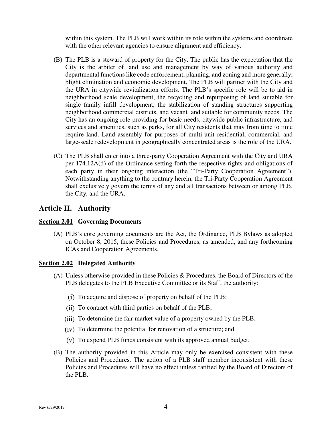within this system. The PLB will work within its role within the systems and coordinate with the other relevant agencies to ensure alignment and efficiency.

- (B) The PLB is a steward of property for the City. The public has the expectation that the City is the arbiter of land use and management by way of various authority and departmental functions like code enforcement, planning, and zoning and more generally, blight elimination and economic development. The PLB will partner with the City and the URA in citywide revitalization efforts. The PLB's specific role will be to aid in neighborhood scale development, the recycling and repurposing of land suitable for single family infill development, the stabilization of standing structures supporting neighborhood commercial districts, and vacant land suitable for community needs. The City has an ongoing role providing for basic needs, citywide public infrastructure, and services and amenities, such as parks, for all City residents that may from time to time require land. Land assembly for purposes of multi-unit residential, commercial, and large-scale redevelopment in geographically concentrated areas is the role of the URA.
- (C) The PLB shall enter into a three-party Cooperation Agreement with the City and URA per 174.12A(d) of the Ordinance setting forth the respective rights and obligations of each party in their ongoing interaction (the "Tri-Party Cooperation Agreement"). Notwithstanding anything to the contrary herein, the Tri-Party Cooperation Agreement shall exclusively govern the terms of any and all transactions between or among PLB, the City, and the URA.

#### **Article II. Authority**

#### **Section 2.01 Governing Documents**

(A) PLB's core governing documents are the Act, the Ordinance, PLB Bylaws as adopted on October 8, 2015, these Policies and Procedures, as amended, and any forthcoming ICAs and Cooperation Agreements.

#### **Section 2.02 Delegated Authority**

- (A) Unless otherwise provided in these Policies & Procedures, the Board of Directors of the PLB delegates to the PLB Executive Committee or its Staff, the authority:
	- To acquire and dispose of property on behalf of the PLB;
	- (ii) To contract with third parties on behalf of the PLB;
	- (iii) To determine the fair market value of a property owned by the PLB;
	- (iv) To determine the potential for renovation of a structure; and
	- To expend PLB funds consistent with its approved annual budget.
- (B) The authority provided in this Article may only be exercised consistent with these Policies and Procedures. The action of a PLB staff member inconsistent with these Policies and Procedures will have no effect unless ratified by the Board of Directors of the PLB.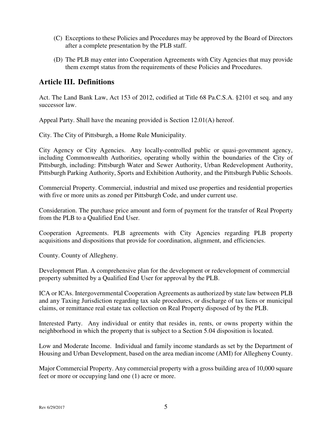- (C) Exceptions to these Policies and Procedures may be approved by the Board of Directors after a complete presentation by the PLB staff.
- (D) The PLB may enter into Cooperation Agreements with City Agencies that may provide them exempt status from the requirements of these Policies and Procedures.

#### **Article III. Definitions**

Act. The Land Bank Law, Act 153 of 2012, codified at Title 68 Pa.C.S.A. §2101 et seq. and any successor law.

Appeal Party. Shall have the meaning provided is Section 12.01(A) hereof.

City. The City of Pittsburgh, a Home Rule Municipality.

City Agency or City Agencies. Any locally-controlled public or quasi-government agency, including Commonwealth Authorities, operating wholly within the boundaries of the City of Pittsburgh, including: Pittsburgh Water and Sewer Authority, Urban Redevelopment Authority, Pittsburgh Parking Authority, Sports and Exhibition Authority, and the Pittsburgh Public Schools.

Commercial Property. Commercial, industrial and mixed use properties and residential properties with five or more units as zoned per Pittsburgh Code, and under current use.

Consideration. The purchase price amount and form of payment for the transfer of Real Property from the PLB to a Qualified End User.

Cooperation Agreements. PLB agreements with City Agencies regarding PLB property acquisitions and dispositions that provide for coordination, alignment, and efficiencies.

County. County of Allegheny.

Development Plan. A comprehensive plan for the development or redevelopment of commercial property submitted by a Qualified End User for approval by the PLB.

ICA or ICAs. Intergovernmental Cooperation Agreements as authorized by state law between PLB and any Taxing Jurisdiction regarding tax sale procedures, or discharge of tax liens or municipal claims, or remittance real estate tax collection on Real Property disposed of by the PLB.

Interested Party. Any individual or entity that resides in, rents, or owns property within the neighborhood in which the property that is subject to a Section 5.04 disposition is located.

Low and Moderate Income. Individual and family income standards as set by the Department of Housing and Urban Development, based on the area median income (AMI) for Allegheny County.

Major Commercial Property. Any commercial property with a gross building area of 10,000 square feet or more or occupying land one (1) acre or more.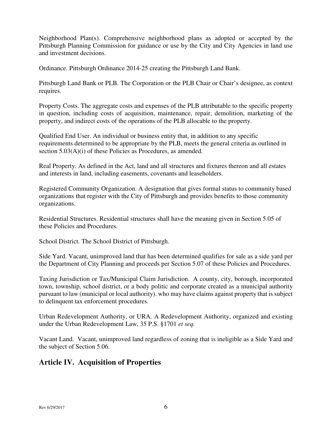Neighborhood Plan(s). Comprehensive neighborhood plans as adopted or accepted by the Pittsburgh Planning Commission for guidance or use by the City and City Agencies in land use and investment decisions.

Ordinance. Pittsburgh Ordinance 2014-25 creating the Pittsburgh Land Bank.

Pittsburgh Land Bank or PLB. The Corporation or the PLB Chair or Chair's designee, as context requires.

Property Costs. The aggregate costs and expenses of the PLB attributable to the specific property in question, including costs of acquisition, maintenance, repair, demolition, marketing of the property, and indirect costs of the operations of the PLB allocable to the property.

Qualified End User. An individual or business entity that, in addition to any specific requirements determined to be appropriate by the PLB, meets the general criteria as outlined in section 5.03(A)(i) of these Policies as Procedures, as amended.

Real Property. As defined in the Act, land and all structures and fixtures thereon and all estates and interests in land, including easements, covenants and leaseholders.

Registered Community Organization. A designation that gives formal status to community based organizations that register with the City of Pittsburgh and provides benefits to those community organizations.

Residential Structures. Residential structures shall have the meaning given in Section 5.05 of these Policies and Procedures.

School District. The School District of Pittsburgh.

Side Yard. Vacant, unimproved land that has been determined qualifies for sale as a side yard per the Department of City Planning and proceeds per Section 5.07 of these Policies and Procedures.

Taxing Jurisdiction or Tax/Municipal Claim Jurisdiction. A county, city, borough, incorporated town, township, school district, or a body politic and corporate created as a municipal authority pursuant to law (municipal or local authority). who may have claims against property that is subject to delinquent tax enforcement procedures.

Urban Redevelopment Authority, or URA. A Redevelopment Authority, organized and existing under the Urban Redevelopment Law, 35 P.S. §1701 *et seq.* 

Vacant Land. Vacant, unimproved land regardless of zoning that is ineligible as a Side Yard and the subject of Section 5.06.

#### **Article IV. Acquisition of Properties**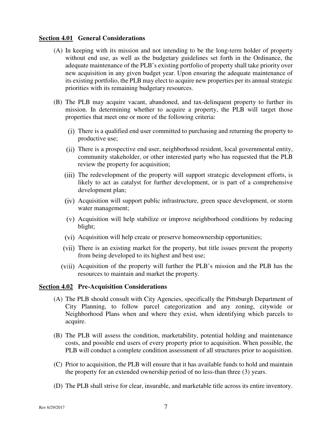#### **Section 4.01 General Considerations**

- (A) In keeping with its mission and not intending to be the long-term holder of property without end use, as well as the budgetary guidelines set forth in the Ordinance, the adequate maintenance of the PLB's existing portfolio of property shall take priority over new acquisition in any given budget year. Upon ensuring the adequate maintenance of its existing portfolio, the PLB may elect to acquire new properties per its annual strategic priorities with its remaining budgetary resources.
- (B) The PLB may acquire vacant, abandoned, and tax-delinquent property to further its mission. In determining whether to acquire a property, the PLB will target those properties that meet one or more of the following criteria:
	- There is a qualified end user committed to purchasing and returning the property to productive use;
	- There is a prospective end user, neighborhood resident, local governmental entity, community stakeholder, or other interested party who has requested that the PLB review the property for acquisition;
	- (iii) The redevelopment of the property will support strategic development efforts, is likely to act as catalyst for further development, or is part of a comprehensive development plan;
	- Acquisition will support public infrastructure, green space development, or storm water management;
	- $(v)$  Acquisition will help stabilize or improve neighborhood conditions by reducing blight;
	- (vi) Acquisition will help create or preserve homeownership opportunities;
	- There is an existing market for the property, but title issues prevent the property from being developed to its highest and best use;
	- Acquisition of the property will further the PLB's mission and the PLB has the resources to maintain and market the property.

#### **Section 4.02 Pre-Acquisition Considerations**

- (A) The PLB should consult with City Agencies, specifically the Pittsburgh Department of City Planning, to follow parcel categorization and any zoning, citywide or Neighborhood Plans when and where they exist, when identifying which parcels to acquire.
- (B) The PLB will assess the condition, marketability, potential holding and maintenance costs, and possible end users of every property prior to acquisition. When possible, the PLB will conduct a complete condition assessment of all structures prior to acquisition.
- (C) Prior to acquisition, the PLB will ensure that it has available funds to hold and maintain the property for an extended ownership period of no less-than three (3) years.
- (D) The PLB shall strive for clear, insurable, and marketable title across its entire inventory.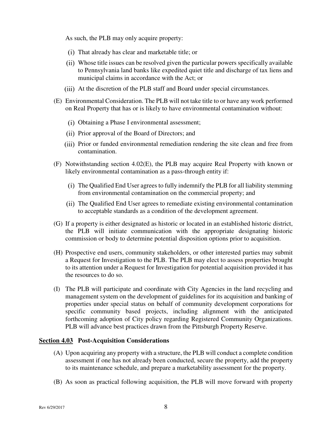As such, the PLB may only acquire property:

- That already has clear and marketable title; or
- Whose title issues can be resolved given the particular powers specifically available to Pennsylvania land banks like expedited quiet title and discharge of tax liens and municipal claims in accordance with the Act; or
- (iii) At the discretion of the PLB staff and Board under special circumstances.
- (E) Environmental Consideration. The PLB will not take title to or have any work performed on Real Property that has or is likely to have environmental contamination without:
	- Obtaining a Phase I environmental assessment;
	- Prior approval of the Board of Directors; and
	- Prior or funded environmental remediation rendering the site clean and free from contamination.
- (F) Notwithstanding section 4.02(E), the PLB may acquire Real Property with known or likely environmental contamination as a pass-through entity if:
	- The Qualified End User agrees to fully indemnify the PLB for all liability stemming from environmental contamination on the commercial property; and
	- The Qualified End User agrees to remediate existing environmental contamination to acceptable standards as a condition of the development agreement.
- (G) If a property is either designated as historic or located in an established historic district, the PLB will initiate communication with the appropriate designating historic commission or body to determine potential disposition options prior to acquisition.
- (H) Prospective end users, community stakeholders, or other interested parties may submit a Request for Investigation to the PLB. The PLB may elect to assess properties brought to its attention under a Request for Investigation for potential acquisition provided it has the resources to do so.
- (I) The PLB will participate and coordinate with City Agencies in the land recycling and management system on the development of guidelines for its acquisition and banking of properties under special status on behalf of community development corporations for specific community based projects, including alignment with the anticipated forthcoming adoption of City policy regarding Registered Community Organizations. PLB will advance best practices drawn from the Pittsburgh Property Reserve.

#### **Section 4.03 Post-Acquisition Considerations**

- (A) Upon acquiring any property with a structure, the PLB will conduct a complete condition assessment if one has not already been conducted, secure the property, add the property to its maintenance schedule, and prepare a marketability assessment for the property.
- (B) As soon as practical following acquisition, the PLB will move forward with property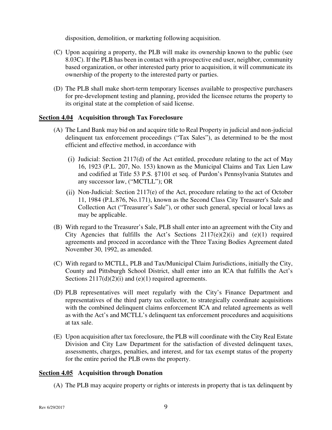disposition, demolition, or marketing following acquisition.

- (C) Upon acquiring a property, the PLB will make its ownership known to the public (see 8.03C). If the PLB has been in contact with a prospective end user, neighbor, community based organization, or other interested party prior to acquisition, it will communicate its ownership of the property to the interested party or parties.
- (D) The PLB shall make short-term temporary licenses available to prospective purchasers for pre-development testing and planning, provided the licensee returns the property to its original state at the completion of said license.

#### **Section 4.04 Acquisition through Tax Foreclosure**

- (A) The Land Bank may bid on and acquire title to Real Property in judicial and non-judicial delinquent tax enforcement proceedings ("Tax Sales"), as determined to be the most efficient and effective method, in accordance with
	- (i) Judicial: Section 2117(d) of the Act entitled, procedure relating to the act of May 16, 1923 (P.L. 207, No. 153) known as the Municipal Claims and Tax Lien Law and codified at Title 53 P.S. §7101 et seq. of Purdon's Pennsylvania Statutes and any successor law, ("MCTLL"); OR
	- (ii) Non-Judicial: Section  $2117(e)$  of the Act, procedure relating to the act of October 11, 1984 (P.L.876, No.171), known as the Second Class City Treasurer's Sale and Collection Act ("Treasurer's Sale"), or other such general, special or local laws as may be applicable.
- (B) With regard to the Treasurer's Sale, PLB shall enter into an agreement with the City and City Agencies that fulfills the Act's Sections  $2117(e)(2)(i)$  and  $(e)(1)$  required agreements and proceed in accordance with the Three Taxing Bodies Agreement dated November 30, 1992, as amended.
- (C) With regard to MCTLL, PLB and Tax/Municipal Claim Jurisdictions, initially the City, County and Pittsburgh School District, shall enter into an ICA that fulfills the Act's Sections  $2117(d)(2)(i)$  and  $(e)(1)$  required agreements.
- (D) PLB representatives will meet regularly with the City's Finance Department and representatives of the third party tax collector, to strategically coordinate acquisitions with the combined delinquent claims enforcement ICA and related agreements as well as with the Act's and MCTLL's delinquent tax enforcement procedures and acquisitions at tax sale.
- (E) Upon acquisition after tax foreclosure, the PLB will coordinate with the City Real Estate Division and City Law Department for the satisfaction of divested delinquent taxes, assessments, charges, penalties, and interest, and for tax exempt status of the property for the entire period the PLB owns the property.

#### **Section 4.05 Acquisition through Donation**

(A) The PLB may acquire property or rights or interests in property that is tax delinquent by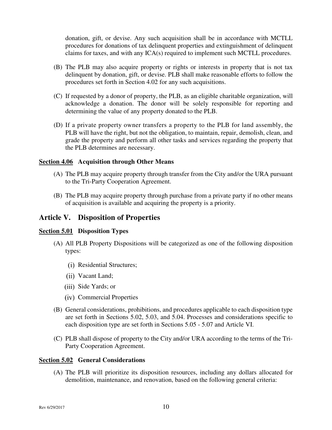donation, gift, or devise. Any such acquisition shall be in accordance with MCTLL procedures for donations of tax delinquent properties and extinguishment of delinquent claims for taxes, and with any ICA(s) required to implement such MCTLL procedures.

- (B) The PLB may also acquire property or rights or interests in property that is not tax delinquent by donation, gift, or devise. PLB shall make reasonable efforts to follow the procedures set forth in Section 4.02 for any such acquisitions.
- (C) If requested by a donor of property, the PLB, as an eligible charitable organization, will acknowledge a donation. The donor will be solely responsible for reporting and determining the value of any property donated to the PLB.
- (D) If a private property owner transfers a property to the PLB for land assembly, the PLB will have the right, but not the obligation, to maintain, repair, demolish, clean, and grade the property and perform all other tasks and services regarding the property that the PLB determines are necessary.

#### **Section 4.06 Acquisition through Other Means**

- (A) The PLB may acquire property through transfer from the City and/or the URA pursuant to the Tri-Party Cooperation Agreement.
- (B) The PLB may acquire property through purchase from a private party if no other means of acquisition is available and acquiring the property is a priority.

#### **Article V. Disposition of Properties**

#### **Section 5.01 Disposition Types**

- (A) All PLB Property Dispositions will be categorized as one of the following disposition types:
	- (i) Residential Structures;
	- (ii) Vacant Land;
	- (iii) Side Yards; or
	- (iv) Commercial Properties
- (B) General considerations, prohibitions, and procedures applicable to each disposition type are set forth in Sections 5.02, 5.03, and 5.04. Processes and considerations specific to each disposition type are set forth in Sections 5.05 - 5.07 and Article VI.
- (C) PLB shall dispose of property to the City and/or URA according to the terms of the Tri-Party Cooperation Agreement.

#### **Section 5.02 General Considerations**

(A) The PLB will prioritize its disposition resources, including any dollars allocated for demolition, maintenance, and renovation, based on the following general criteria: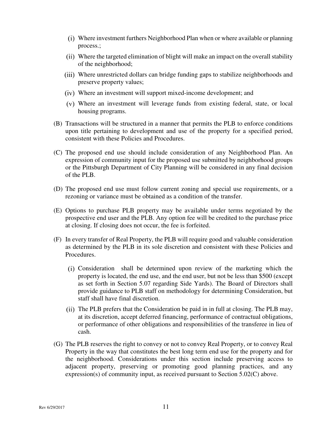- Where investment furthers Neighborhood Plan when or where available or planning process.;
- Where the targeted elimination of blight will make an impact on the overall stability of the neighborhood;
- Where unrestricted dollars can bridge funding gaps to stabilize neighborhoods and preserve property values;
- Where an investment will support mixed-income development; and
- Where an investment will leverage funds from existing federal, state, or local housing programs.
- (B) Transactions will be structured in a manner that permits the PLB to enforce conditions upon title pertaining to development and use of the property for a specified period, consistent with these Policies and Procedures.
- (C) The proposed end use should include consideration of any Neighborhood Plan. An expression of community input for the proposed use submitted by neighborhood groups or the Pittsburgh Department of City Planning will be considered in any final decision of the PLB.
- (D) The proposed end use must follow current zoning and special use requirements, or a rezoning or variance must be obtained as a condition of the transfer.
- (E) Options to purchase PLB property may be available under terms negotiated by the prospective end user and the PLB. Any option fee will be credited to the purchase price at closing. If closing does not occur, the fee is forfeited.
- (F) In every transfer of Real Property, the PLB will require good and valuable consideration as determined by the PLB in its sole discretion and consistent with these Policies and Procedures.
	- Consideration shall be determined upon review of the marketing which the property is located, the end use, and the end user, but not be less than \$500 (except as set forth in Section 5.07 regarding Side Yards). The Board of Directors shall provide guidance to PLB staff on methodology for determining Consideration, but staff shall have final discretion.
	- $T$  (ii) The PLB prefers that the Consideration be paid in in full at closing. The PLB may, at its discretion, accept deferred financing, performance of contractual obligations, or performance of other obligations and responsibilities of the transferee in lieu of cash.
- (G) The PLB reserves the right to convey or not to convey Real Property, or to convey Real Property in the way that constitutes the best long term end use for the property and for the neighborhood. Considerations under this section include preserving access to adjacent property, preserving or promoting good planning practices, and any expression(s) of community input, as received pursuant to Section 5.02(C) above.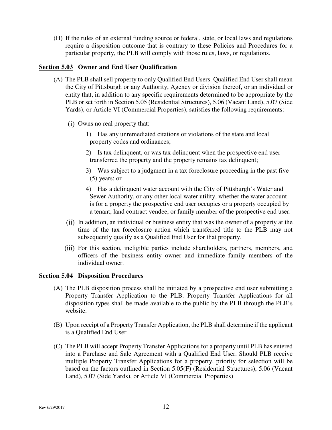(H) If the rules of an external funding source or federal, state, or local laws and regulations require a disposition outcome that is contrary to these Policies and Procedures for a particular property, the PLB will comply with those rules, laws, or regulations.

#### **Section 5.03 Owner and End User Qualification**

- (A) The PLB shall sell property to only Qualified End Users. Qualified End User shall mean the City of Pittsburgh or any Authority, Agency or division thereof, or an individual or entity that, in addition to any specific requirements determined to be appropriate by the PLB or set forth in Section 5.05 (Residential Structures), 5.06 (Vacant Land), 5.07 (Side Yards), or Article VI (Commercial Properties), satisfies the following requirements:
	- Owns no real property that:
		- 1) Has any unremediated citations or violations of the state and local property codes and ordinances;
		- 2) Is tax delinquent, or was tax delinquent when the prospective end user transferred the property and the property remains tax delinquent;
		- 3) Was subject to a judgment in a tax foreclosure proceeding in the past five (5) years; or
		- 4) Has a delinquent water account with the City of Pittsburgh's Water and Sewer Authority, or any other local water utility, whether the water account is for a property the prospective end user occupies or a property occupied by a tenant, land contract vendee, or family member of the prospective end user.
	- (ii) In addition, an individual or business entity that was the owner of a property at the time of the tax foreclosure action which transferred title to the PLB may not subsequently qualify as a Qualified End User for that property.
	- For this section, ineligible parties include shareholders, partners, members, and officers of the business entity owner and immediate family members of the individual owner.

#### **Section 5.04 Disposition Procedures**

- (A) The PLB disposition process shall be initiated by a prospective end user submitting a Property Transfer Application to the PLB. Property Transfer Applications for all disposition types shall be made available to the public by the PLB through the PLB's website.
- (B) Upon receipt of a Property Transfer Application, the PLB shall determine if the applicant is a Qualified End User.
- (C) The PLB will accept Property Transfer Applications for a property until PLB has entered into a Purchase and Sale Agreement with a Qualified End User. Should PLB receive multiple Property Transfer Applications for a property, priority for selection will be based on the factors outlined in Section 5.05(F) (Residential Structures), 5.06 (Vacant Land), 5.07 (Side Yards), or Article VI (Commercial Properties)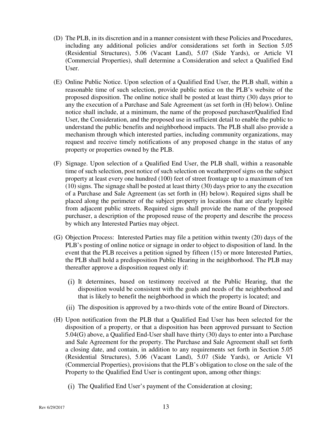- (D) The PLB, in its discretion and in a manner consistent with these Policies and Procedures, including any additional policies and/or considerations set forth in Section 5.05 (Residential Structures), 5.06 (Vacant Land), 5.07 (Side Yards), or Article VI (Commercial Properties), shall determine a Consideration and select a Qualified End User.
- (E) Online Public Notice. Upon selection of a Qualified End User, the PLB shall, within a reasonable time of such selection, provide public notice on the PLB's website of the proposed disposition. The online notice shall be posted at least thirty (30) days prior to any the execution of a Purchase and Sale Agreement (as set forth in (H) below). Online notice shall include, at a minimum, the name of the proposed purchaser/Qualified End User, the Consideration, and the proposed use in sufficient detail to enable the public to understand the public benefits and neighborhood impacts. The PLB shall also provide a mechanism through which interested parties, including community organizations, may request and receive timely notifications of any proposed change in the status of any property or properties owned by the PLB.
- (F) Signage. Upon selection of a Qualified End User, the PLB shall, within a reasonable time of such selection, post notice of such selection on weatherproof signs on the subject property at least every one hundred (100) feet of street frontage up to a maximum of ten (10) signs. The signage shall be posted at least thirty (30) days prior to any the execution of a Purchase and Sale Agreement (as set forth in (H) below). Required signs shall be placed along the perimeter of the subject property in locations that are clearly legible from adjacent public streets. Required signs shall provide the name of the proposed purchaser, a description of the proposed reuse of the property and describe the process by which any Interested Parties may object.
- (G) Objection Process: Interested Parties may file a petition within twenty (20) days of the PLB's posting of online notice or signage in order to object to disposition of land. In the event that the PLB receives a petition signed by fifteen (15) or more Interested Parties, the PLB shall hold a predisposition Public Hearing in the neighborhood. The PLB may thereafter approve a disposition request only if:
	- It determines, based on testimony received at the Public Hearing, that the disposition would be consistent with the goals and needs of the neighborhood and that is likely to benefit the neighborhood in which the property is located; and
	- The disposition is approved by a two-thirds vote of the entire Board of Directors.
- (H) Upon notification from the PLB that a Qualified End User has been selected for the disposition of a property, or that a disposition has been approved pursuant to Section 5.04(G) above, a Qualified End-User shall have thirty (30) days to enter into a Purchase and Sale Agreement for the property. The Purchase and Sale Agreement shall set forth a closing date, and contain, in addition to any requirements set forth in Section 5.05 (Residential Structures), 5.06 (Vacant Land), 5.07 (Side Yards), or Article VI (Commercial Properties), provisions that the PLB's obligation to close on the sale of the Property to the Qualified End User is contingent upon, among other things:
	- (i) The Qualified End User's payment of the Consideration at closing;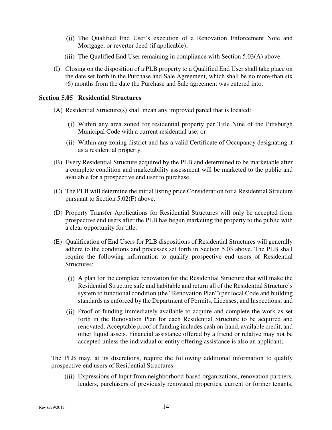- The Qualified End User's execution of a Renovation Enforcement Note and Mortgage, or reverter deed (if applicable);
- (iii) The Qualified End User remaining in compliance with Section  $5.03(A)$  above.
- (I) Closing on the disposition of a PLB property to a Qualified End User shall take place on the date set forth in the Purchase and Sale Agreement, which shall be no more-than six (6) months from the date the Purchase and Sale agreement was entered into.

#### **Section 5.05 Residential Structures**

- (A) Residential Structure(s) shall mean any improved parcel that is located:
	- Within any area zoned for residential property per Title Nine of the Pittsburgh Municipal Code with a current residential use; or
	- Within any zoning district and has a valid Certificate of Occupancy designating it as a residential property.
- (B) Every Residential Structure acquired by the PLB and determined to be marketable after a complete condition and marketability assessment will be marketed to the public and available for a prospective end user to purchase.
- (C) The PLB will determine the initial listing price Consideration for a Residential Structure pursuant to Section 5.02(F) above.
- (D) Property Transfer Applications for Residential Structures will only be accepted from prospective end users after the PLB has begun marketing the property to the public with a clear opportunity for title.
- (E) Qualification of End Users for PLB dispositions of Residential Structures will generally adhere to the conditions and processes set forth in Section 5.03 above. The PLB shall require the following information to qualify prospective end users of Residential Structures:
	- A plan for the complete renovation for the Residential Structure that will make the Residential Structure safe and habitable and return all of the Residential Structure's system to functional condition (the "Renovation Plan") per local Code and building standards as enforced by the Department of Permits, Licenses, and Inspections; and
	- Proof of funding immediately available to acquire and complete the work as set forth in the Renovation Plan for each Residential Structure to be acquired and renovated. Acceptable proof of funding includes cash on-hand, available credit, and other liquid assets. Financial assistance offered by a friend or relative may not be accepted unless the individual or entity offering assistance is also an applicant;

The PLB may, at its discretions, require the following additional information to qualify prospective end users of Residential Structures:

Expressions of Input from neighborhood-based organizations, renovation partners, lenders, purchasers of previously renovated properties, current or former tenants,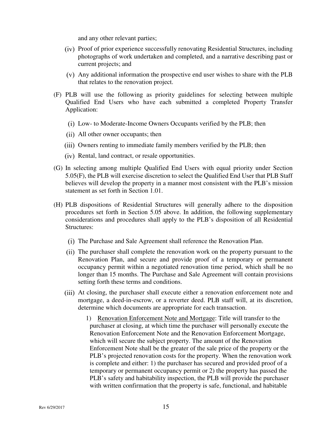and any other relevant parties;

- (iv) Proof of prior experience successfully renovating Residential Structures, including photographs of work undertaken and completed, and a narrative describing past or current projects; and
- Any additional information the prospective end user wishes to share with the PLB that relates to the renovation project.
- (F) PLB will use the following as priority guidelines for selecting between multiple Qualified End Users who have each submitted a completed Property Transfer Application:
	- Low- to Moderate-Income Owners Occupants verified by the PLB; then
	- All other owner occupants; then
	- (iii) Owners renting to immediate family members verified by the PLB; then
	- (iv) Rental, land contract, or resale opportunities.
- (G) In selecting among multiple Qualified End Users with equal priority under Section 5.05(F), the PLB will exercise discretion to select the Qualified End User that PLB Staff believes will develop the property in a manner most consistent with the PLB's mission statement as set forth in Section 1.01.
- (H) PLB dispositions of Residential Structures will generally adhere to the disposition procedures set forth in Section 5.05 above. In addition, the following supplementary considerations and procedures shall apply to the PLB's disposition of all Residential Structures:
	- (i) The Purchase and Sale Agreement shall reference the Renovation Plan.
	- (ii) The purchaser shall complete the renovation work on the property pursuant to the Renovation Plan, and secure and provide proof of a temporary or permanent occupancy permit within a negotiated renovation time period, which shall be no longer than 15 months. The Purchase and Sale Agreement will contain provisions setting forth these terms and conditions.
	- At closing, the purchaser shall execute either a renovation enforcement note and mortgage, a deed-in-escrow, or a reverter deed. PLB staff will, at its discretion, determine which documents are appropriate for each transaction.
		- 1) Renovation Enforcement Note and Mortgage: Title will transfer to the purchaser at closing, at which time the purchaser will personally execute the Renovation Enforcement Note and the Renovation Enforcement Mortgage, which will secure the subject property. The amount of the Renovation Enforcement Note shall be the greater of the sale price of the property or the PLB's projected renovation costs for the property. When the renovation work is complete and either: 1) the purchaser has secured and provided proof of a temporary or permanent occupancy permit or 2) the property has passed the PLB's safety and habitability inspection, the PLB will provide the purchaser with written confirmation that the property is safe, functional, and habitable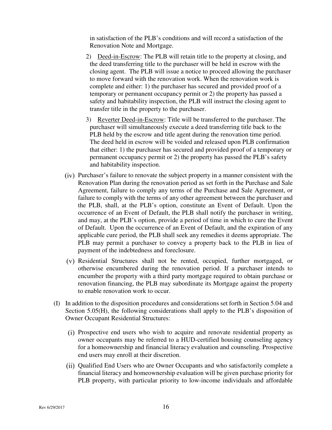in satisfaction of the PLB's conditions and will record a satisfaction of the Renovation Note and Mortgage.

- 2) Deed-in-Escrow: The PLB will retain title to the property at closing, and the deed transferring title to the purchaser will be held in escrow with the closing agent. The PLB will issue a notice to proceed allowing the purchaser to move forward with the renovation work. When the renovation work is complete and either: 1) the purchaser has secured and provided proof of a temporary or permanent occupancy permit or 2) the property has passed a safety and habitability inspection, the PLB will instruct the closing agent to transfer title in the property to the purchaser.
- 3) Reverter Deed-in-Escrow: Title will be transferred to the purchaser. The purchaser will simultaneously execute a deed transferring title back to the PLB held by the escrow and title agent during the renovation time period. The deed held in escrow will be voided and released upon PLB confirmation that either: 1) the purchaser has secured and provided proof of a temporary or permanent occupancy permit or 2) the property has passed the PLB's safety and habitability inspection.
- $(iv)$  Purchaser's failure to renovate the subject property in a manner consistent with the Renovation Plan during the renovation period as set forth in the Purchase and Sale Agreement, failure to comply any terms of the Purchase and Sale Agreement, or failure to comply with the terms of any other agreement between the purchaser and the PLB, shall, at the PLB's option, constitute an Event of Default. Upon the occurrence of an Event of Default, the PLB shall notify the purchaser in writing, and may, at the PLB's option, provide a period of time in which to cure the Event of Default. Upon the occurrence of an Event of Default, and the expiration of any applicable cure period, the PLB shall seek any remedies it deems appropriate. The PLB may permit a purchaser to convey a property back to the PLB in lieu of payment of the indebtedness and foreclosure.
- Residential Structures shall not be rented, occupied, further mortgaged, or otherwise encumbered during the renovation period. If a purchaser intends to encumber the property with a third party mortgage required to obtain purchase or renovation financing, the PLB may subordinate its Mortgage against the property to enable renovation work to occur.
- (I) In addition to the disposition procedures and considerations set forth in Section 5.04 and Section 5.05(H), the following considerations shall apply to the PLB's disposition of Owner Occupant Residential Structures:
	- Prospective end users who wish to acquire and renovate residential property as owner occupants may be referred to a HUD-certified housing counseling agency for a homeownership and financial literacy evaluation and counseling. Prospective end users may enroll at their discretion.
	- Qualified End Users who are Owner Occupants and who satisfactorily complete a financial literacy and homeownership evaluation will be given purchase priority for PLB property, with particular priority to low-income individuals and affordable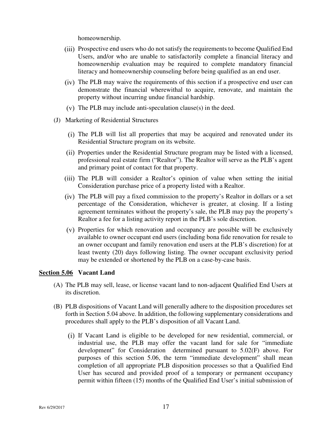homeownership.

- Prospective end users who do not satisfy the requirements to become Qualified End Users, and/or who are unable to satisfactorily complete a financial literacy and homeownership evaluation may be required to complete mandatory financial literacy and homeownership counseling before being qualified as an end user.
- The PLB may waive the requirements of this section if a prospective end user can demonstrate the financial wherewithal to acquire, renovate, and maintain the property without incurring undue financial hardship.
- $(v)$  The PLB may include anti-speculation clause $(s)$  in the deed.
- (J) Marketing of Residential Structures
	- The PLB will list all properties that may be acquired and renovated under its Residential Structure program on its website.
	- Properties under the Residential Structure program may be listed with a licensed, professional real estate firm ("Realtor"). The Realtor will serve as the PLB's agent and primary point of contact for that property.
	- (iii) The PLB will consider a Realtor's opinion of value when setting the initial Consideration purchase price of a property listed with a Realtor.
	- The PLB will pay a fixed commission to the property's Realtor in dollars or a set percentage of the Consideration, whichever is greater, at closing. If a listing agreement terminates without the property's sale, the PLB may pay the property's Realtor a fee for a listing activity report in the PLB's sole discretion.
	- Properties for which renovation and occupancy are possible will be exclusively available to owner occupant end users (including bona fide renovation for resale to an owner occupant and family renovation end users at the PLB's discretion) for at least twenty (20) days following listing. The owner occupant exclusivity period may be extended or shortened by the PLB on a case-by-case basis.

#### **Section 5.06 Vacant Land**

- (A) The PLB may sell, lease, or license vacant land to non-adjacent Qualified End Users at its discretion.
- (B) PLB dispositions of Vacant Land will generally adhere to the disposition procedures set forth in Section 5.04 above. In addition, the following supplementary considerations and procedures shall apply to the PLB's disposition of all Vacant Land.
	- If Vacant Land is eligible to be developed for new residential, commercial, or industrial use, the PLB may offer the vacant land for sale for "immediate development" for Consideration determined pursuant to 5.02(F) above. For purposes of this section 5.06, the term "immediate development" shall mean completion of all appropriate PLB disposition processes so that a Qualified End User has secured and provided proof of a temporary or permanent occupancy permit within fifteen (15) months of the Qualified End User's initial submission of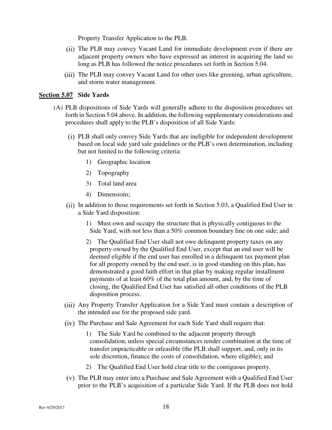Property Transfer Application to the PLB.

- (ii) The PLB may convey Vacant Land for immediate development even if there are adjacent property owners who have expressed an interest in acquiring the land so long as PLB has followed the notice procedures set forth in Section 5.04.
- (iii) The PLB may convey Vacant Land for other uses like greening, urban agriculture, and storm water management.

#### **Section 5.07 Side Yards**

- (A) PLB dispositions of Side Yards will generally adhere to the disposition procedures set forth in Section 5.04 above. In addition, the following supplementary considerations and procedures shall apply to the PLB's disposition of all Side Yards:
	- PLB shall only convey Side Yards that are ineligible for independent development based on local side yard sale guidelines or the PLB's own determination, including but not limited to the following criteria:
		- 1) Geographic location
		- 2) Topography
		- 3) Total land area
		- 4) Dimensions;
	- $(ii)$  In addition to those requirements set forth in Section 5.03, a Qualified End User in a Side Yard disposition:
		- 1) Must own and occupy the structure that is physically contiguous to the Side Yard, with not less than a 50% common boundary line on one side; and
		- 2) The Qualified End User shall not owe delinquent property taxes on any property owned by the Qualified End User, except that an end user will be deemed eligible if the end user has enrolled in a delinquent tax payment plan for all property owned by the end user, is in good standing on this plan, has demonstrated a good faith effort in that plan by making regular installment payments of at least 60% of the total plan amount, and, by the time of closing, the Qualified End User has satisfied all other conditions of the PLB disposition process.
	- Any Property Transfer Application for a Side Yard must contain a description of the intended use for the proposed side yard.
	- (iv) The Purchase and Sale Agreement for each Side Yard shall require that:
		- 1) The Side Yard be combined to the adjacent property through consolidation, unless special circumstances render combination at the time of transfer impracticable or infeasible (the PLB shall support, and, only in its sole discretion, finance the costs of consolidation, where eligible); and
		- 2) The Qualified End User hold clear title to the contiguous property.
	- $V$ ) The PLB may enter into a Purchase and Sale Agreement with a Qualified End User prior to the PLB's acquisition of a particular Side Yard. If the PLB does not hold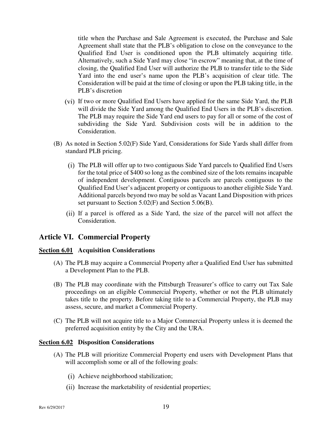title when the Purchase and Sale Agreement is executed, the Purchase and Sale Agreement shall state that the PLB's obligation to close on the conveyance to the Qualified End User is conditioned upon the PLB ultimately acquiring title. Alternatively, such a Side Yard may close "in escrow" meaning that, at the time of closing, the Qualified End User will authorize the PLB to transfer title to the Side Yard into the end user's name upon the PLB's acquisition of clear title. The Consideration will be paid at the time of closing or upon the PLB taking title, in the PLB's discretion

- If two or more Qualified End Users have applied for the same Side Yard, the PLB will divide the Side Yard among the Qualified End Users in the PLB's discretion. The PLB may require the Side Yard end users to pay for all or some of the cost of subdividing the Side Yard. Subdivision costs will be in addition to the Consideration.
- (B) As noted in Section 5.02(F) Side Yard, Considerations for Side Yards shall differ from standard PLB pricing.
	- The PLB will offer up to two contiguous Side Yard parcels to Qualified End Users for the total price of \$400 so long as the combined size of the lots remains incapable of independent development. Contiguous parcels are parcels contiguous to the Qualified End User's adjacent property or contiguous to another eligible Side Yard. Additional parcels beyond two may be sold as Vacant Land Disposition with prices set pursuant to Section 5.02(F) and Section 5.06(B).
	- If a parcel is offered as a Side Yard, the size of the parcel will not affect the Consideration.

#### **Article VI. Commercial Property**

#### **Section 6.01 Acquisition Considerations**

- (A) The PLB may acquire a Commercial Property after a Qualified End User has submitted a Development Plan to the PLB.
- (B) The PLB may coordinate with the Pittsburgh Treasurer's office to carry out Tax Sale proceedings on an eligible Commercial Property, whether or not the PLB ultimately takes title to the property. Before taking title to a Commercial Property, the PLB may assess, secure, and market a Commercial Property.
- (C) The PLB will not acquire title to a Major Commercial Property unless it is deemed the preferred acquisition entity by the City and the URA.

#### **Section 6.02 Disposition Considerations**

- (A) The PLB will prioritize Commercial Property end users with Development Plans that will accomplish some or all of the following goals:
	- Achieve neighborhood stabilization;
	- (ii) Increase the marketability of residential properties;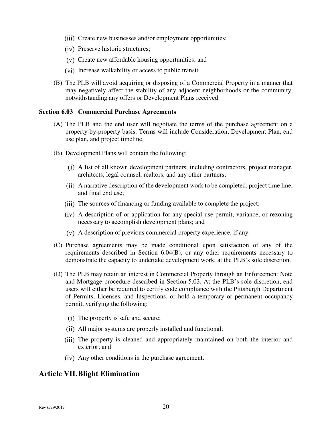- (iii) Create new businesses and/or employment opportunities;
- (iv) Preserve historic structures;
- Create new affordable housing opportunities; and
- (vi) Increase walkability or access to public transit.
- (B) The PLB will avoid acquiring or disposing of a Commercial Property in a manner that may negatively affect the stability of any adjacent neighborhoods or the community, notwithstanding any offers or Development Plans received.

#### **Section 6.03 Commercial Purchase Agreements**

- (A) The PLB and the end user will negotiate the terms of the purchase agreement on a property-by-property basis. Terms will include Consideration, Development Plan, end use plan, and project timeline.
- (B) Development Plans will contain the following:
	- A list of all known development partners, including contractors, project manager, architects, legal counsel, realtors, and any other partners;
	- A narrative description of the development work to be completed, project time line, and final end use;
	- (iii) The sources of financing or funding available to complete the project;
	- A description of or application for any special use permit, variance, or rezoning necessary to accomplish development plans; and
	- A description of previous commercial property experience, if any.
- (C) Purchase agreements may be made conditional upon satisfaction of any of the requirements described in Section 6.04(B), or any other requirements necessary to demonstrate the capacity to undertake development work, at the PLB's sole discretion.
- (D) The PLB may retain an interest in Commercial Property through an Enforcement Note and Mortgage procedure described in Section 5.03. At the PLB's sole discretion, end users will either be required to certify code compliance with the Pittsburgh Department of Permits, Licenses, and Inspections, or hold a temporary or permanent occupancy permit, verifying the following:
	- (i) The property is safe and secure;
	- All major systems are properly installed and functional;
	- (iii) The property is cleaned and appropriately maintained on both the interior and exterior; and
	- Any other conditions in the purchase agreement.

#### **Article VII.Blight Elimination**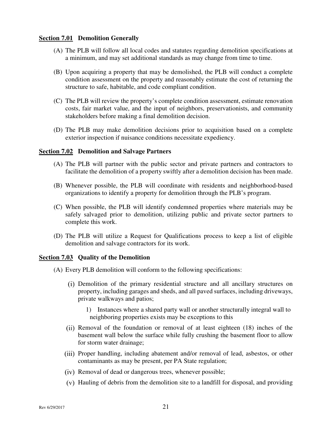#### **Section 7.01 Demolition Generally**

- (A) The PLB will follow all local codes and statutes regarding demolition specifications at a minimum, and may set additional standards as may change from time to time.
- (B) Upon acquiring a property that may be demolished, the PLB will conduct a complete condition assessment on the property and reasonably estimate the cost of returning the structure to safe, habitable, and code compliant condition.
- (C) The PLB will review the property's complete condition assessment, estimate renovation costs, fair market value, and the input of neighbors, preservationists, and community stakeholders before making a final demolition decision.
- (D) The PLB may make demolition decisions prior to acquisition based on a complete exterior inspection if nuisance conditions necessitate expediency.

#### **Section 7.02 Demolition and Salvage Partners**

- (A) The PLB will partner with the public sector and private partners and contractors to facilitate the demolition of a property swiftly after a demolition decision has been made.
- (B) Whenever possible, the PLB will coordinate with residents and neighborhood-based organizations to identify a property for demolition through the PLB's program.
- (C) When possible, the PLB will identify condemned properties where materials may be safely salvaged prior to demolition, utilizing public and private sector partners to complete this work.
- (D) The PLB will utilize a Request for Qualifications process to keep a list of eligible demolition and salvage contractors for its work.

#### **Section 7.03 Quality of the Demolition**

- (A) Every PLB demolition will conform to the following specifications:
	- Demolition of the primary residential structure and all ancillary structures on property, including garages and sheds, and all paved surfaces, including driveways, private walkways and patios;
		- 1) Instances where a shared party wall or another structurally integral wall to neighboring properties exists may be exceptions to this
	- Removal of the foundation or removal of at least eighteen (18) inches of the basement wall below the surface while fully crushing the basement floor to allow for storm water drainage;
	- (iii) Proper handling, including abatement and/or removal of lead, asbestos, or other contaminants as may be present, per PA State regulation;
	- (iv) Removal of dead or dangerous trees, whenever possible;
	- Hauling of debris from the demolition site to a landfill for disposal, and providing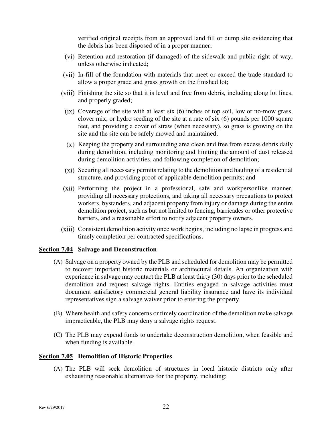verified original receipts from an approved land fill or dump site evidencing that the debris has been disposed of in a proper manner;

- (vi) Retention and restoration (if damaged) of the sidewalk and public right of way, unless otherwise indicated;
- In-fill of the foundation with materials that meet or exceed the trade standard to allow a proper grade and grass growth on the finished lot;
- Finishing the site so that it is level and free from debris, including along lot lines, and properly graded;
	- $(ix)$  Coverage of the site with at least six  $(6)$  inches of top soil, low or no-mow grass, clover mix, or hydro seeding of the site at a rate of six (6) pounds per 1000 square feet, and providing a cover of straw (when necessary), so grass is growing on the site and the site can be safely mowed and maintained;
	- $(x)$  Keeping the property and surrounding area clean and free from excess debris daily during demolition, including monitoring and limiting the amount of dust released during demolition activities, and following completion of demolition;
- Securing all necessary permits relating to the demolition and hauling of a residential structure, and providing proof of applicable demolition permits; and
- (xii) Performing the project in a professional, safe and workpersonlike manner, providing all necessary protections, and taking all necessary precautions to protect workers, bystanders, and adjacent property from injury or damage during the entire demolition project, such as but not limited to fencing, barricades or other protective barriers, and a reasonable effort to notify adjacent property owners.
- Consistent demolition activity once work begins, including no lapse in progress and timely completion per contracted specifications.

#### **Section 7.04 Salvage and Deconstruction**

- (A) Salvage on a property owned by the PLB and scheduled for demolition may be permitted to recover important historic materials or architectural details. An organization with experience in salvage may contact the PLB at least thirty (30) days prior to the scheduled demolition and request salvage rights. Entities engaged in salvage activities must document satisfactory commercial general liability insurance and have its individual representatives sign a salvage waiver prior to entering the property.
- (B) Where health and safety concerns or timely coordination of the demolition make salvage impracticable, the PLB may deny a salvage rights request.
- (C) The PLB may expend funds to undertake deconstruction demolition, when feasible and when funding is available.

#### **Section 7.05 Demolition of Historic Properties**

(A) The PLB will seek demolition of structures in local historic districts only after exhausting reasonable alternatives for the property, including: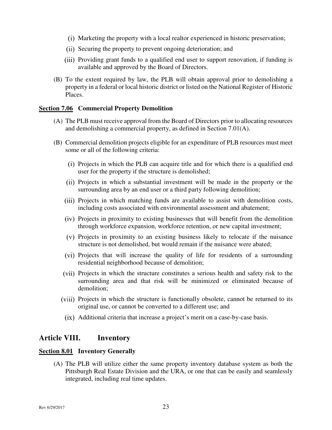- Marketing the property with a local realtor experienced in historic preservation;
- (ii) Securing the property to prevent ongoing deterioration; and
- (iii) Providing grant funds to a qualified end user to support renovation, if funding is available and approved by the Board of Directors.
- (B) To the extent required by law, the PLB will obtain approval prior to demolishing a property in a federal or local historic district or listed on the National Register of Historic Places.

#### **Section 7.06 Commercial Property Demolition**

- (A) The PLB must receive approval from the Board of Directors prior to allocating resources and demolishing a commercial property, as defined in Section 7.01(A).
- (B) Commercial demolition projects eligible for an expenditure of PLB resources must meet some or all of the following criteria:
	- Projects in which the PLB can acquire title and for which there is a qualified end user for the property if the structure is demolished;
	- Projects in which a substantial investment will be made in the property or the surrounding area by an end user or a third party following demolition;
	- (iii) Projects in which matching funds are available to assist with demolition costs, including costs associated with environmental assessment and abatement;
	- $(iv)$  Projects in proximity to existing businesses that will benefit from the demolition through workforce expansion, workforce retention, or new capital investment;
	- $(v)$  Projects in proximity to an existing business likely to relocate if the nuisance structure is not demolished, but would remain if the nuisance were abated;
	- (vi) Projects that will increase the quality of life for residents of a surrounding residential neighborhood because of demolition;
	- Projects in which the structure constitutes a serious health and safety risk to the surrounding area and that risk will be minimized or eliminated because of demolition;
	- (viii) Projects in which the structure is functionally obsolete, cannot be returned to its original use, or cannot be converted to a different use; and
		- Additional criteria that increase a project's merit on a case-by-case basis.

#### **Article VIII. Inventory**

#### **Section 8.01 Inventory Generally**

(A) The PLB will utilize either the same property inventory database system as both the Pittsburgh Real Estate Division and the URA, or one that can be easily and seamlessly integrated, including real time updates.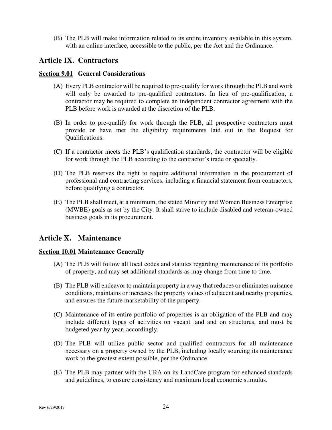(B) The PLB will make information related to its entire inventory available in this system, with an online interface, accessible to the public, per the Act and the Ordinance.

#### **Article IX. Contractors**

#### **Section 9.01 General Considerations**

- (A) Every PLB contractor will be required to pre-qualify for work through the PLB and work will only be awarded to pre-qualified contractors. In lieu of pre-qualification, a contractor may be required to complete an independent contractor agreement with the PLB before work is awarded at the discretion of the PLB.
- (B) In order to pre-qualify for work through the PLB, all prospective contractors must provide or have met the eligibility requirements laid out in the Request for Qualifications.
- (C) If a contractor meets the PLB's qualification standards, the contractor will be eligible for work through the PLB according to the contractor's trade or specialty.
- (D) The PLB reserves the right to require additional information in the procurement of professional and contracting services, including a financial statement from contractors, before qualifying a contractor.
- (E) The PLB shall meet, at a minimum, the stated Minority and Women Business Enterprise (MWBE) goals as set by the City. It shall strive to include disabled and veteran-owned business goals in its procurement.

#### **Article X. Maintenance**

#### **Section 10.01 Maintenance Generally**

- (A) The PLB will follow all local codes and statutes regarding maintenance of its portfolio of property, and may set additional standards as may change from time to time.
- (B) The PLB will endeavor to maintain property in a way that reduces or eliminates nuisance conditions, maintains or increases the property values of adjacent and nearby properties, and ensures the future marketability of the property.
- (C) Maintenance of its entire portfolio of properties is an obligation of the PLB and may include different types of activities on vacant land and on structures, and must be budgeted year by year, accordingly.
- (D) The PLB will utilize public sector and qualified contractors for all maintenance necessary on a property owned by the PLB, including locally sourcing its maintenance work to the greatest extent possible, per the Ordinance
- (E) The PLB may partner with the URA on its LandCare program for enhanced standards and guidelines, to ensure consistency and maximum local economic stimulus.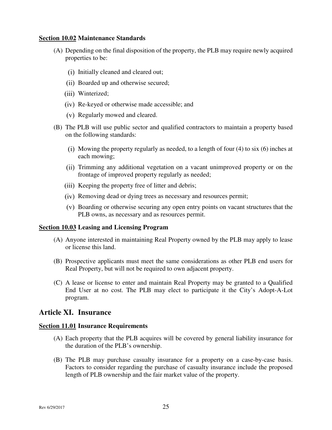#### **Section 10.02 Maintenance Standards**

- (A) Depending on the final disposition of the property, the PLB may require newly acquired properties to be:
	- (i) Initially cleaned and cleared out;
	- (ii) Boarded up and otherwise secured;
	- (iii) Winterized;
	- Re-keyed or otherwise made accessible; and
	- Regularly mowed and cleared.
- (B) The PLB will use public sector and qualified contractors to maintain a property based on the following standards:
	- (i) Mowing the property regularly as needed, to a length of four  $(4)$  to six  $(6)$  inches at each mowing;
	- Trimming any additional vegetation on a vacant unimproved property or on the frontage of improved property regularly as needed;
	- (iii) Keeping the property free of litter and debris;
	- (iv) Removing dead or dying trees as necessary and resources permit;
	- Boarding or otherwise securing any open entry points on vacant structures that the PLB owns, as necessary and as resources permit.

#### **Section 10.03 Leasing and Licensing Program**

- (A) Anyone interested in maintaining Real Property owned by the PLB may apply to lease or license this land.
- (B) Prospective applicants must meet the same considerations as other PLB end users for Real Property, but will not be required to own adjacent property.
- (C) A lease or license to enter and maintain Real Property may be granted to a Qualified End User at no cost. The PLB may elect to participate it the City's Adopt-A-Lot program.

#### **Article XI. Insurance**

#### **Section 11.01 Insurance Requirements**

- (A) Each property that the PLB acquires will be covered by general liability insurance for the duration of the PLB's ownership.
- (B) The PLB may purchase casualty insurance for a property on a case-by-case basis. Factors to consider regarding the purchase of casualty insurance include the proposed length of PLB ownership and the fair market value of the property.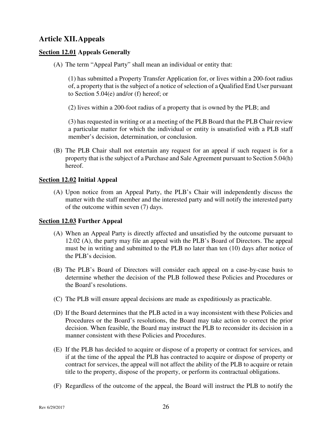#### **Article XII.Appeals**

#### **Section 12.01 Appeals Generally**

(A) The term "Appeal Party" shall mean an individual or entity that:

(1) has submitted a Property Transfer Application for, or lives within a 200-foot radius of, a property that is the subject of a notice of selection of a Qualified End User pursuant to Section 5.04(e) and/or (f) hereof; or

(2) lives within a 200-foot radius of a property that is owned by the PLB; and

(3) has requested in writing or at a meeting of the PLB Board that the PLB Chair review a particular matter for which the individual or entity is unsatisfied with a PLB staff member's decision, determination, or conclusion.

(B) The PLB Chair shall not entertain any request for an appeal if such request is for a property that is the subject of a Purchase and Sale Agreement pursuant to Section 5.04(h) hereof.

#### **Section 12.02 Initial Appeal**

(A) Upon notice from an Appeal Party, the PLB's Chair will independently discuss the matter with the staff member and the interested party and will notify the interested party of the outcome within seven (7) days.

#### **Section 12.03 Further Appeal**

- (A) When an Appeal Party is directly affected and unsatisfied by the outcome pursuant to 12.02 (A), the party may file an appeal with the PLB's Board of Directors. The appeal must be in writing and submitted to the PLB no later than ten (10) days after notice of the PLB's decision.
- (B) The PLB's Board of Directors will consider each appeal on a case-by-case basis to determine whether the decision of the PLB followed these Policies and Procedures or the Board's resolutions.
- (C) The PLB will ensure appeal decisions are made as expeditiously as practicable.
- (D) If the Board determines that the PLB acted in a way inconsistent with these Policies and Procedures or the Board's resolutions, the Board may take action to correct the prior decision. When feasible, the Board may instruct the PLB to reconsider its decision in a manner consistent with these Policies and Procedures.
- (E) If the PLB has decided to acquire or dispose of a property or contract for services, and if at the time of the appeal the PLB has contracted to acquire or dispose of property or contract for services, the appeal will not affect the ability of the PLB to acquire or retain title to the property, dispose of the property, or perform its contractual obligations.
- (F) Regardless of the outcome of the appeal, the Board will instruct the PLB to notify the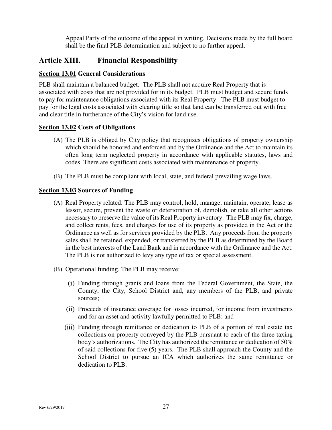Appeal Party of the outcome of the appeal in writing. Decisions made by the full board shall be the final PLB determination and subject to no further appeal.

#### **Article XIII. Financial Responsibility**

#### **Section 13.01 General Considerations**

PLB shall maintain a balanced budget. The PLB shall not acquire Real Property that is associated with costs that are not provided for in its budget. PLB must budget and secure funds to pay for maintenance obligations associated with its Real Property. The PLB must budget to pay for the legal costs associated with clearing title so that land can be transferred out with free and clear title in furtherance of the City's vision for land use.

#### **Section 13.02 Costs of Obligations**

- (A) The PLB is obliged by City policy that recognizes obligations of property ownership which should be honored and enforced and by the Ordinance and the Act to maintain its often long term neglected property in accordance with applicable statutes, laws and codes. There are significant costs associated with maintenance of property.
- (B) The PLB must be compliant with local, state, and federal prevailing wage laws.

#### **Section 13.03 Sources of Funding**

- (A) Real Property related. The PLB may control, hold, manage, maintain, operate, lease as lessor, secure, prevent the waste or deterioration of, demolish, or take all other actions necessary to preserve the value of its Real Property inventory. The PLB may fix, charge, and collect rents, fees, and charges for use of its property as provided in the Act or the Ordinance as well as for services provided by the PLB. Any proceeds from the property sales shall be retained, expended, or transferred by the PLB as determined by the Board in the best interests of the Land Bank and in accordance with the Ordinance and the Act. The PLB is not authorized to levy any type of tax or special assessment.
- (B) Operational funding. The PLB may receive:
	- Funding through grants and loans from the Federal Government, the State, the County, the City, School District and, any members of the PLB, and private sources;
	- Proceeds of insurance coverage for losses incurred, for income from investments and for an asset and activity lawfully permitted to PLB; and
	- Funding through remittance or dedication to PLB of a portion of real estate tax collections on property conveyed by the PLB pursuant to each of the three taxing body's authorizations. The City has authorized the remittance or dedication of 50% of said collections for five (5) years. The PLB shall approach the County and the School District to pursue an ICA which authorizes the same remittance or dedication to PLB.